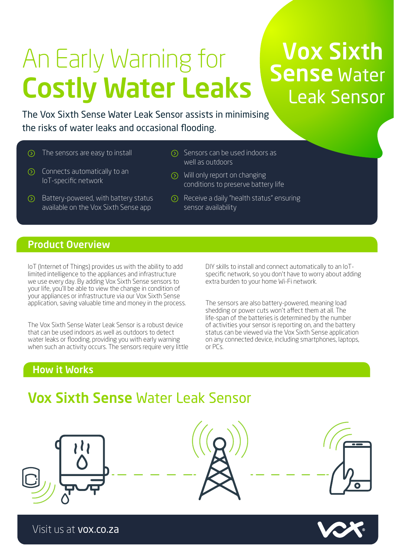# An Early Warning for Costly Water Leaks

# Vox Sixth **Sense Water** Leak Sensor

The Vox Sixth Sense Water Leak Sensor assists in minimising the risks of water leaks and occasional flooding.

- $\circled{)}$  The sensors are easy to install  $\circled{)}$  Sensors can be used indoors as
- $\circled{)}$  Connects automatically to an IoT-specific network
- $\odot$  Battery-powered, with battery status available on the Vox Sixth Sense app
- well as outdoors
- Will only report on changing conditions to preserve battery life
- Receive a daily "health status" ensuring sensor availability

# Product Overview

IoT (Internet of Things) provides us with the ability to add limited intelligence to the appliances and infrastructure we use every day. By adding Vox Sixth Sense sensors to your life, you'll be able to view the change in condition of your appliances or infrastructure via our Vox Sixth Sense application, saving valuable time and money in the process.

The Vox Sixth Sense Water Leak Sensor is a robust device that can be used indoors as well as outdoors to detect water leaks or flooding, providing you with early warning when such an activity occurs. The sensors require very little

DIY skills to install and connect automatically to an IoTspecific network, so you don't have to worry about adding extra burden to your home Wi-Fi network.

The sensors are also battery-powered, meaning load shedding or power cuts won't affect them at all. The life-span of the batteries is determined by the number of activities your sensor is reporting on, and the battery status can be viewed via the Vox Sixth Sense application on any connected device, including smartphones, laptops, or PCs.

## How it Works

# Vox Sixth Sense Water Leak Sensor









Visit us at vox.co.za